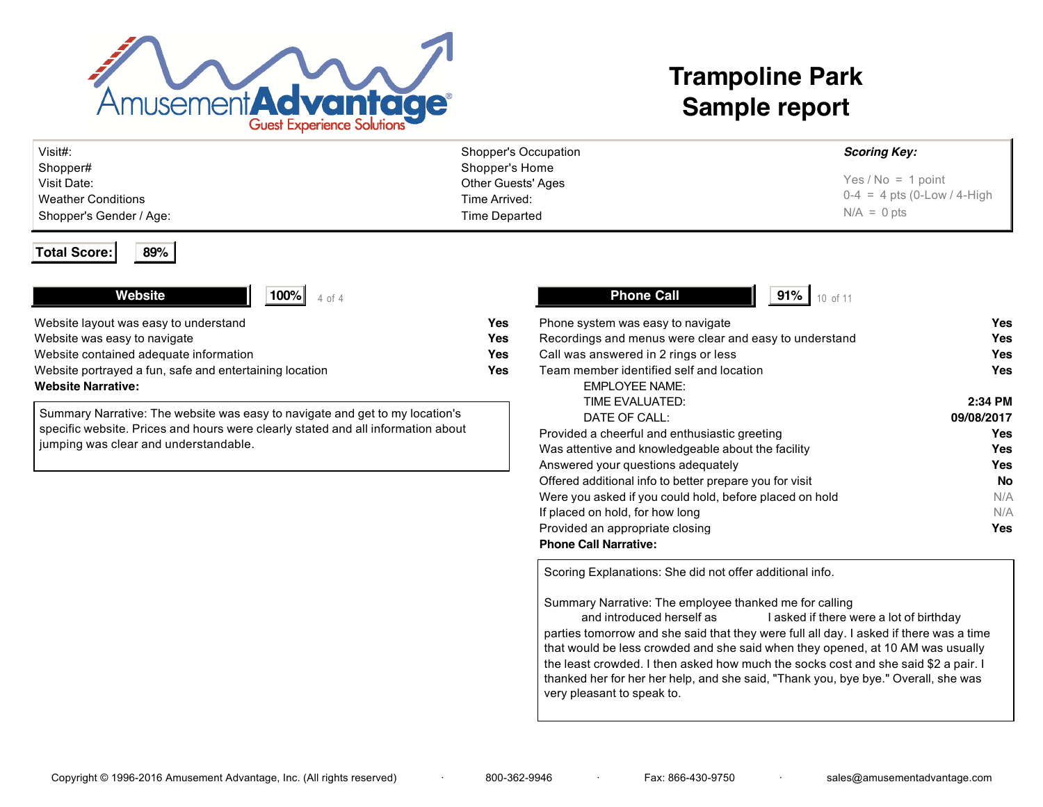

# **Trampoline Park Sample report**

| Visit#:                 | Shopper's Occupation | <b>Scoring Key:</b>           |
|-------------------------|----------------------|-------------------------------|
| Shopper#                | Shopper's Home       |                               |
| Visit Date:             | Other Guests' Ages   | Yes / $No = 1$ point          |
| Weather Conditions      | Time Arrived:        | $0-4 = 4$ pts (0-Low / 4-High |
| Shopper's Gender / Age: | Time Departed        | $N/A = 0$ pts                 |

### **Total Score: 89%**

# **Website**

| Website layout was easy to understand                   | Yes |
|---------------------------------------------------------|-----|
| Website was easy to navigate                            | Yes |
| Website contained adequate information                  | Yes |
| Website portrayed a fun, safe and entertaining location | Yes |
| <b>Website Narrative:</b>                               |     |

Summary Narrative: The website was easy to navigate and get to my location's specific website. Prices and hours were clearly stated and all information about jumping was clear and understandable.

| <b>Phone Call</b><br>91%                                |            |
|---------------------------------------------------------|------------|
| Phone system was easy to navigate                       | Yes        |
| Recordings and menus were clear and easy to understand  | Yes        |
| Call was answered in 2 rings or less                    | Yes        |
| Team member identified self and location                | Yes        |
| <b>EMPLOYEE NAME:</b>                                   |            |
| TIME EVALUATED:                                         | 2:34 PM    |
| DATE OF CALL:                                           | 09/08/2017 |
| Provided a cheerful and enthusiastic greeting           | Yes        |
| Was attentive and knowledgeable about the facility      | Yes        |
| Answered your questions adequately                      | Yes        |
| Offered additional info to better prepare you for visit | <b>No</b>  |
| Were you asked if you could hold, before placed on hold | N/A        |
| If placed on hold, for how long                         | N/A        |
| Provided an appropriate closing                         | Yes        |
| <b>Phone Call Narrative:</b>                            |            |

Scoring Explanations: She did not offer additional info.

Summary Narrative: The employee thanked me for calling

and introduced herself as "Sierra." I asked if there were a lot of birthday parties tomorrow and she said that they were full all day. I asked if there was a time that would be less crowded and she said when they opened, at 10 AM was usually the least crowded. I then asked how much the socks cost and she said \$2 a pair. I thanked her for her her help, and she said, "Thank you, bye bye." Overall, she was very pleasant to speak to.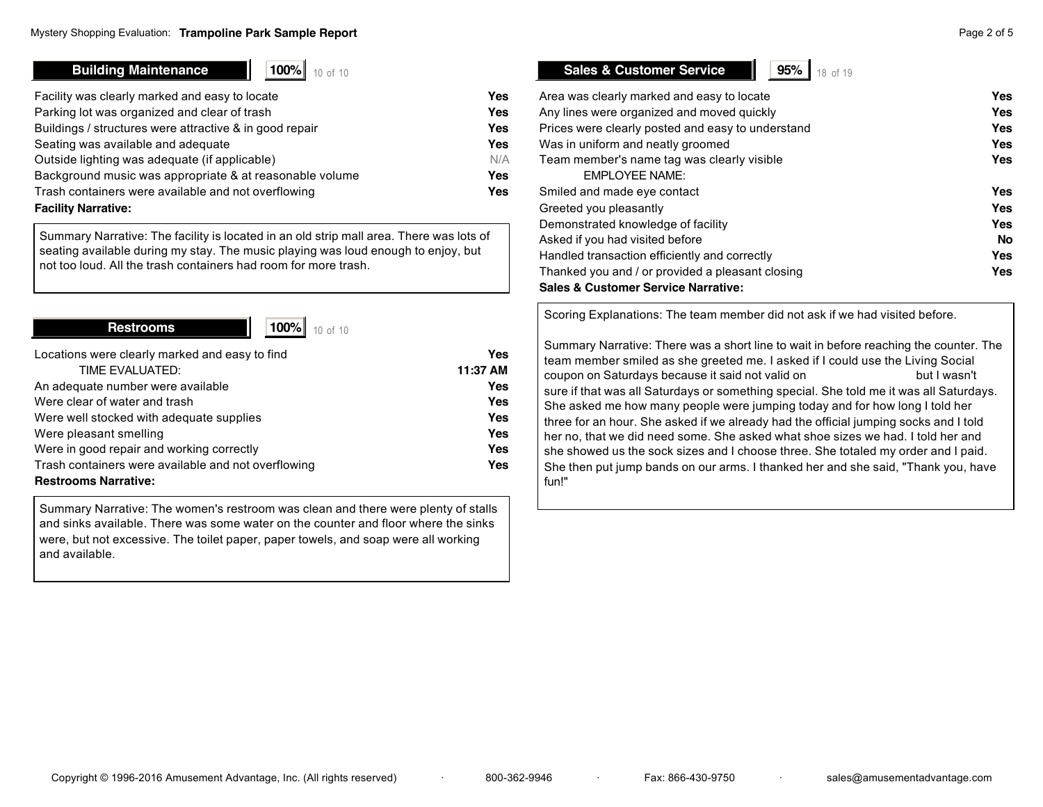# **Building Maintenance 1 100%** 10 of 10

| Facility was clearly marked and easy to locate          | Yes |
|---------------------------------------------------------|-----|
| Parking lot was organized and clear of trash            | Yes |
| Buildings / structures were attractive & in good repair | Yes |
| Seating was available and adequate                      | Yes |
| Outside lighting was adequate (if applicable)           | N/A |
| Background music was appropriate & at reasonable volume | Yes |
| Trash containers were available and not overflowing     | Yes |
| <b>Facility Narrative:</b>                              |     |

Summary Narrative: The facility is located in an old strip mall area. There was lots of seating available during my stay. The music playing was loud enough to enjoy, but not too loud. All the trash containers had room for more trash.

**Restrooms 1 100%** 10 of 10

| Locations were clearly marked and easy to find      | Yes        |
|-----------------------------------------------------|------------|
| TIME EVALUATED:                                     | 11:37 AM   |
| An adequate number were available                   | Yes        |
| Were clear of water and trash                       | Yes        |
| Were well stocked with adequate supplies            | Yes        |
| Were pleasant smelling                              | Yes        |
| Were in good repair and working correctly           | Yes        |
| Trash containers were available and not overflowing | <b>Yes</b> |
| <b>Restrooms Narrative:</b>                         |            |

Summary Narrative: The women's restroom was clean and there were plenty of stalls and sinks available. There was some water on the counter and floor where the sinks were, but not excessive. The toilet paper, paper towels, and soap were all working and available.

# **Sales & Customer Service**

| 95% |  |  |
|-----|--|--|
|     |  |  |

| Area was clearly marked and easy to locate        | Yes       |
|---------------------------------------------------|-----------|
| Any lines were organized and moved quickly        | Yes       |
| Prices were clearly posted and easy to understand | Yes       |
| Was in uniform and neatly groomed                 | Yes       |
| Team member's name tag was clearly visible        | Yes       |
| <b>EMPLOYEE NAME:</b>                             |           |
| Smiled and made eye contact                       | Yes       |
| Greeted you pleasantly                            | Yes       |
| Demonstrated knowledge of facility                | Yes       |
| Asked if you had visited before                   | <b>No</b> |
| Handled transaction efficiently and correctly     | Yes       |
| Thanked you and / or provided a pleasant closing  | Yes       |
| <b>Sales &amp; Customer Service Narrative:</b>    |           |

Scoring Explanations: The team member did not ask if we had visited before.

Summary Narrative: There was a short line to wait in before reaching the counter. The team member smiled as she greeted me. I asked if I could use the Living Social coupon on Saturdays because it said not valid on "Rockin Saturdays but I wasn't sure if that was all Saturdays or something special. She told me it was all Saturdays. She asked me how many people were jumping today and for how long I told her three for an hour. She asked if we already had the official jumping socks and I told her no, that we did need some. She asked what shoe sizes we had. I told her and she showed us the sock sizes and I choose three. She totaled my order and I paid. She then put jump bands on our arms. I thanked her and she said, "Thank you, have fun!"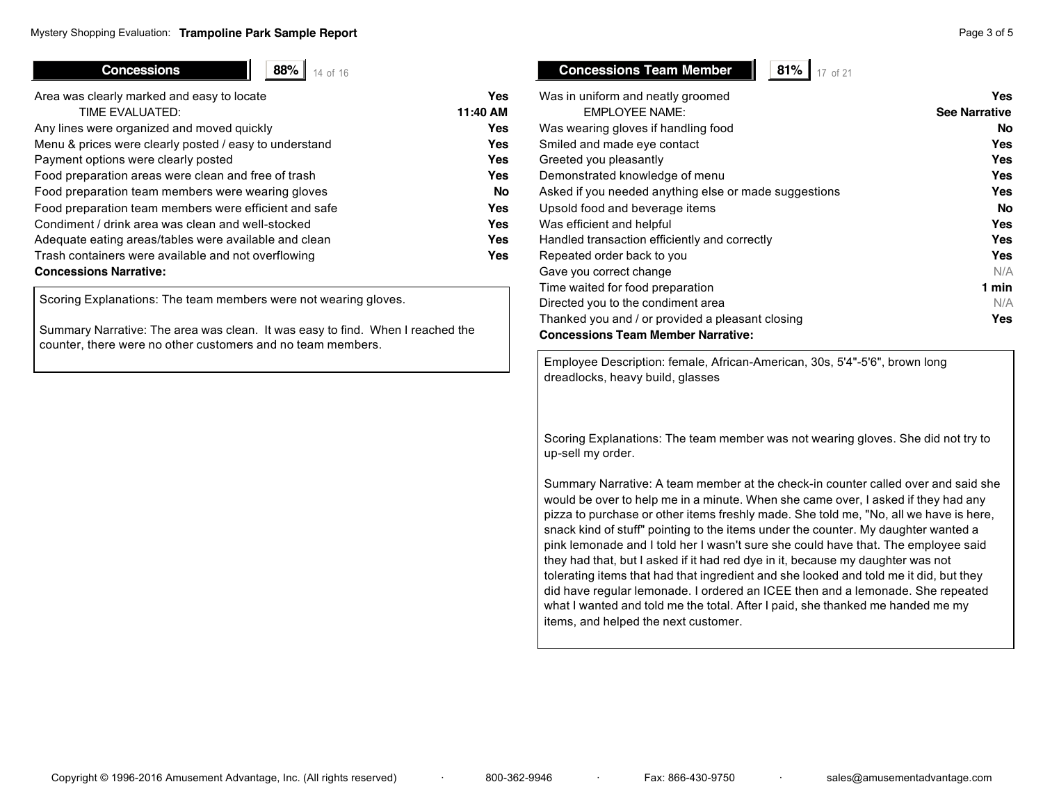**Concessions 88%** 14 of 16

| Area was clearly marked and easy to locate             | Yes       |
|--------------------------------------------------------|-----------|
| TIME EVALUATED:                                        | 11:40 AM  |
| Any lines were organized and moved quickly             | Yes       |
| Menu & prices were clearly posted / easy to understand | Yes       |
| Payment options were clearly posted                    | Yes       |
| Food preparation areas were clean and free of trash    | Yes       |
| Food preparation team members were wearing gloves      | <b>No</b> |
| Food preparation team members were efficient and safe  | Yes       |
| Condiment / drink area was clean and well-stocked      | Yes       |
| Adequate eating areas/tables were available and clean  | Yes       |
| Trash containers were available and not overflowing    | Yes       |
| <b>Concessions Narrative:</b>                          |           |
|                                                        |           |

Scoring Explanations: The team members were not wearing gloves.

Summary Narrative: The area was clean. It was easy to find. When I reached the counter, there were no other customers and no team members.

# Was in uniform and neatly groomed **Yes**  EMPLOYEE NAME: **See Narrative** Was wearing gloves if handling food **No** Smiled and made eye contact **Yes** Greeted you pleasantly **Yes** Demonstrated knowledge of menu **Yes** Asked if you needed anything else or made suggestions **Yes** Upsold food and beverage items **No** Was efficient and helpful **Yes** Handled transaction efficiently and correctly **Yes** Repeated order back to you **Yes** Gave you correct change N/A Time waited for food preparation **1 min** Directed you to the condiment area N/A

Thanked you and / or provided a pleasant closing **Yes**

**Concessions Team Member | 81%** 17 of 21

**Concessions Team Member Narrative:**

Employee Description: female, African-American, 30s, 5'4"-5'6", brown long dreadlocks, heavy build, glasses

Scoring Explanations: The team member was not wearing gloves. She did not try to up-sell my order.

Summary Narrative: A team member at the check-in counter called over and said she would be over to help me in a minute. When she came over, I asked if they had any pizza to purchase or other items freshly made. She told me, "No, all we have is here, snack kind of stuff" pointing to the items under the counter. My daughter wanted a pink lemonade and I told her I wasn't sure she could have that. The employee said they had that, but I asked if it had red dye in it, because my daughter was not tolerating items that had that ingredient and she looked and told me it did, but they did have regular lemonade. I ordered an ICEE then and a lemonade. She repeated what I wanted and told me the total. After I paid, she thanked me handed me my items, and helped the next customer.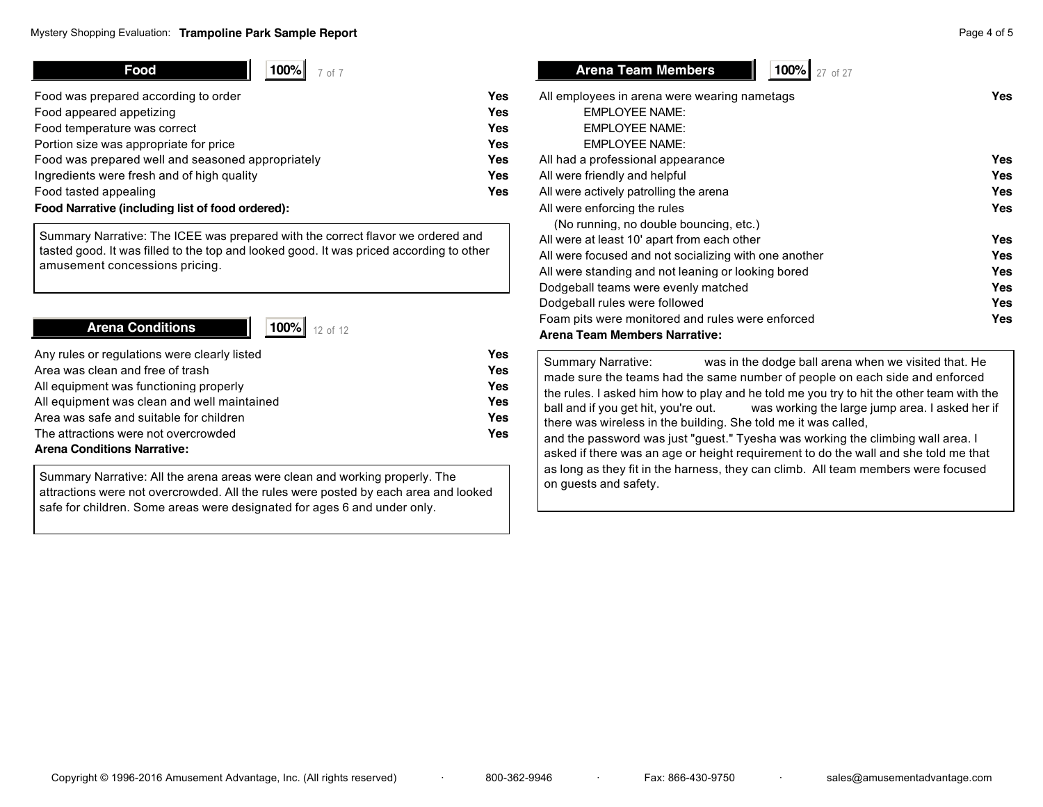| Food<br>100%l<br>7 of 7                           |            |
|---------------------------------------------------|------------|
| Food was prepared according to order              | Yes        |
| Food appeared appetizing                          | <b>Yes</b> |
| Food temperature was correct                      | <b>Yes</b> |
| Portion size was appropriate for price            | <b>Yes</b> |
| Food was prepared well and seasoned appropriately | <b>Yes</b> |
| Ingredients were fresh and of high quality        | <b>Yes</b> |
| Food tasted appealing                             | Yes        |

## **Food Narrative (including list of food ordered):**

Summary Narrative: The ICEE was prepared with the correct flavor we ordered and tasted good. It was filled to the top and looked good. It was priced according to other amusement concessions pricing.

# **Arena Conditions 100%** 12 of 12

| Any rules or regulations were clearly listed | Yes |
|----------------------------------------------|-----|
| Area was clean and free of trash             | Yes |
| All equipment was functioning properly       | Yes |
| All equipment was clean and well maintained  | Yes |
| Area was safe and suitable for children      | Yes |
| The attractions were not overcrowded         | Yes |
| <b>Arena Conditions Narrative:</b>           |     |

Summary Narrative: All the arena areas were clean and working properly. The attractions were not overcrowded. All the rules were posted by each area and looked safe for children. Some areas were designated for ages 6 and under only.

**Arena Team Members 100%** 27 of 27

| All employees in arena were wearing nametags          | Yes        |
|-------------------------------------------------------|------------|
| <b>EMPLOYEE NAME:</b>                                 |            |
| <b>EMPLOYEE NAME:</b>                                 |            |
| <b>EMPLOYEE NAME:</b>                                 |            |
| All had a professional appearance                     | Yes        |
| All were friendly and helpful                         | Yes        |
| All were actively patrolling the arena                | Yes        |
| All were enforcing the rules                          | Yes        |
| (No running, no double bouncing, etc.)                |            |
| All were at least 10' apart from each other           | Yes        |
| All were focused and not socializing with one another | Yes        |
| All were standing and not leaning or looking bored    | <b>Yes</b> |
| Dodgeball teams were evenly matched                   | Yes        |
| Dodgeball rules were followed                         | Yes        |
| Foam pits were monitored and rules were enforced      | Yes        |
| Arena Team Members Narrative:                         |            |

Summary Narrative: was in the dodge ball arena when we visited that. He made sure the teams had the same number of people on each side and enforced the rules. I asked him how to play and he told me you try to hit the other team with the ball and if you get hit, you're out. Was working the large jump area. I asked her if there was wireless in the building. She told me it was called, and the password was just "guest." Tyesha was working the climbing wall area. I asked if there was an age or height requirement to do the wall and she told me that as long as they fit in the harness, they can climb. All team members were focused on guests and safety.